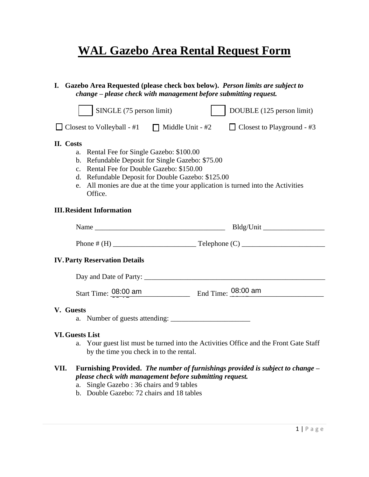# **WAL Gazebo Area Rental Request Form**

| I. Gazebo Area Requested (please check box below). Person limits are subject to<br>change - please check with management before submitting request.                                                                                                                                                            |                                                                                                                                                                                                                                       |  |                                   |  |  |  |  |  |  |
|----------------------------------------------------------------------------------------------------------------------------------------------------------------------------------------------------------------------------------------------------------------------------------------------------------------|---------------------------------------------------------------------------------------------------------------------------------------------------------------------------------------------------------------------------------------|--|-----------------------------------|--|--|--|--|--|--|
|                                                                                                                                                                                                                                                                                                                | SINGLE (75 person limit)                                                                                                                                                                                                              |  | DOUBLE (125 person limit)         |  |  |  |  |  |  |
|                                                                                                                                                                                                                                                                                                                | $\Box$ Closest to Volleyball - #1 $\Box$ Middle Unit - #2                                                                                                                                                                             |  | $\Box$ Closest to Playground - #3 |  |  |  |  |  |  |
| II. Costs<br>a. Rental Fee for Single Gazebo: \$100.00<br>b. Refundable Deposit for Single Gazebo: \$75.00<br>c. Rental Fee for Double Gazebo: \$150.00<br>d. Refundable Deposit for Double Gazebo: \$125.00<br>All monies are due at the time your application is turned into the Activities<br>e.<br>Office. |                                                                                                                                                                                                                                       |  |                                   |  |  |  |  |  |  |
| <b>III. Resident Information</b>                                                                                                                                                                                                                                                                               |                                                                                                                                                                                                                                       |  |                                   |  |  |  |  |  |  |
|                                                                                                                                                                                                                                                                                                                |                                                                                                                                                                                                                                       |  |                                   |  |  |  |  |  |  |
|                                                                                                                                                                                                                                                                                                                |                                                                                                                                                                                                                                       |  |                                   |  |  |  |  |  |  |
| <b>IV. Party Reservation Details</b>                                                                                                                                                                                                                                                                           |                                                                                                                                                                                                                                       |  |                                   |  |  |  |  |  |  |
|                                                                                                                                                                                                                                                                                                                |                                                                                                                                                                                                                                       |  |                                   |  |  |  |  |  |  |
|                                                                                                                                                                                                                                                                                                                | Start Time: 08:00 am End Time: 08:00 am                                                                                                                                                                                               |  |                                   |  |  |  |  |  |  |
| V. Guests                                                                                                                                                                                                                                                                                                      |                                                                                                                                                                                                                                       |  |                                   |  |  |  |  |  |  |
| <b>VI. Guests List</b><br>a. Your guest list must be turned into the Activities Office and the Front Gate Staff<br>by the time you check in to the rental.                                                                                                                                                     |                                                                                                                                                                                                                                       |  |                                   |  |  |  |  |  |  |
| VII.                                                                                                                                                                                                                                                                                                           | Furnishing Provided. The number of furnishings provided is subject to change -<br>please check with management before submitting request.<br>Single Gazebo: 36 chairs and 9 tables<br>a.<br>b. Double Gazebo: 72 chairs and 18 tables |  |                                   |  |  |  |  |  |  |

12:00 pm<br>12:00 pm<br>12:00 pm

12:00 pm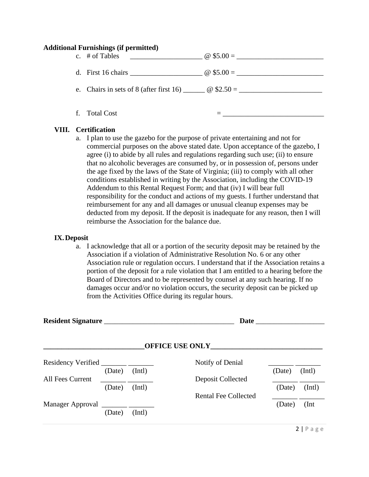#### **Additional Furnishings (if permitted)**

|    | c. $\#$ of Tables<br><u> 1990 - Johann Stein, mars an de Francisco (f. 19</u> |                                                                                  |
|----|-------------------------------------------------------------------------------|----------------------------------------------------------------------------------|
|    |                                                                               |                                                                                  |
|    |                                                                               | e. Chairs in sets of 8 (after first 16) $\qquad \qquad \textcircled{g}$ \$2.50 = |
| f. | <b>Total Cost</b>                                                             |                                                                                  |

### **VIII. Certification**

a. I plan to use the gazebo for the purpose of private entertaining and not for commercial purposes on the above stated date. Upon acceptance of the gazebo, I agree (i) to abide by all rules and regulations regarding such use; (ii) to ensure that no alcoholic beverages are consumed by, or in possession of, persons under the age fixed by the laws of the State of Virginia; (iii) to comply with all other conditions established in writing by the Association, including the COVID-19 Addendum to this Rental Request Form; and that (iv) I will bear full responsibility for the conduct and actions of my guests. I further understand that reimbursement for any and all damages or unusual cleanup expenses may be deducted from my deposit. If the deposit is inadequate for any reason, then I will reimburse the Association for the balance due.

### **IX.Deposit**

a. I acknowledge that all or a portion of the security deposit may be retained by the Association if a violation of Administrative Resolution No. 6 or any other Association rule or regulation occurs. I understand that if the Association retains a portion of the deposit for a rule violation that I am entitled to a hearing before the Board of Directors and to be represented by counsel at any such hearing. If no damages occur and/or no violation occurs, the security deposit can be picked up from the Activities Office during its regular hours.

|                  |        |        | <b>Date</b>                           |        |        |
|------------------|--------|--------|---------------------------------------|--------|--------|
|                  |        |        | <b>OFFICE USE ONLY</b>                |        |        |
| All Fees Current | (Date) | (Intl) | Notify of Denial<br>Deposit Collected | (Date) | (Intl) |
|                  | (Date) | (Int)  | <b>Rental Fee Collected</b>           | (Date) | (Intl) |
|                  | (Date) | (Intl) |                                       | (Date) | (Int)  |